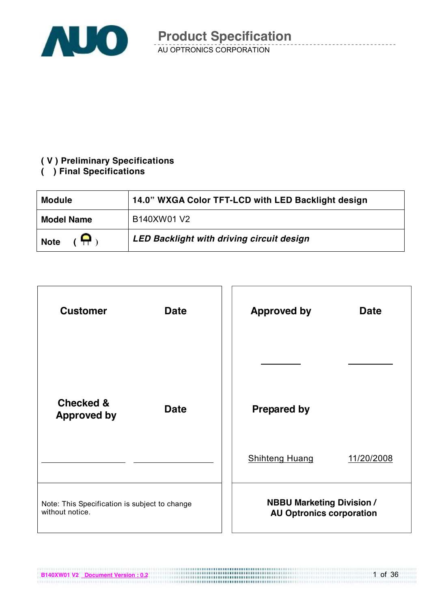

#### **( V ) Preliminary Specifications**

#### **( ) Final Specifications**

| <b>Module</b>     | 14.0" WXGA Color TFT-LCD with LED Backlight design |
|-------------------|----------------------------------------------------|
| <b>Model Name</b> | B140XW01 V2                                        |
| Η.<br><b>Note</b> | LED Backlight with driving circuit design          |

| <b>Customer</b>                                                  | <b>Date</b> |  | <b>Approved by</b>                                                  | <b>Date</b> |
|------------------------------------------------------------------|-------------|--|---------------------------------------------------------------------|-------------|
|                                                                  |             |  |                                                                     |             |
| <b>Checked &amp;</b><br><b>Approved by</b>                       | <b>Date</b> |  | <b>Prepared by</b>                                                  |             |
|                                                                  |             |  | <b>Shihteng Huang</b>                                               | 11/20/2008  |
| Note: This Specification is subject to change<br>without notice. |             |  | <b>NBBU Marketing Division /</b><br><b>AU Optronics corporation</b> |             |

**B140XW01 V2 Document Version : 0.2**

1 of 36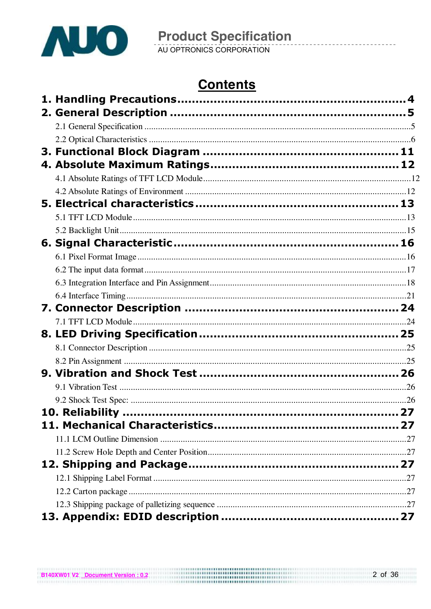

# **Contents**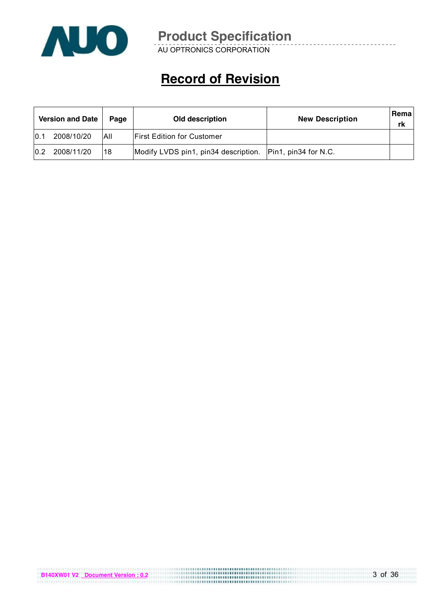

AU OPTRONICS CORPORATION

# **Record of Revision**

|     | <b>Version and Date</b> | Page       | Old description                                             | <b>New Description</b> | <b>Rema</b><br>rk |
|-----|-------------------------|------------|-------------------------------------------------------------|------------------------|-------------------|
| 0.1 | 2008/10/20              | <b>AII</b> | <b>First Edition for Customer</b>                           |                        |                   |
| 0.2 | 2008/11/20              | 118        | Modify LVDS pin1, pin34 description.   Pin1, pin34 for N.C. |                        |                   |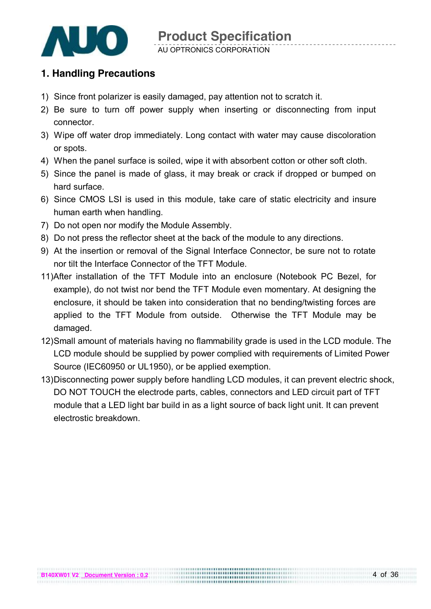

### **1. Handling Precautions**

- 1) Since front polarizer is easily damaged, pay attention not to scratch it.
- 2) Be sure to turn off power supply when inserting or disconnecting from input connector.
- 3) Wipe off water drop immediately. Long contact with water may cause discoloration or spots.
- 4) When the panel surface is soiled, wipe it with absorbent cotton or other soft cloth.
- 5) Since the panel is made of glass, it may break or crack if dropped or bumped on hard surface.
- 6) Since CMOS LSI is used in this module, take care of static electricity and insure human earth when handling.
- 7) Do not open nor modify the Module Assembly.
- 8) Do not press the reflector sheet at the back of the module to any directions.
- 9) At the insertion or removal of the Signal Interface Connector, be sure not to rotate nor tilt the Interface Connector of the TFT Module.
- 11)After installation of the TFT Module into an enclosure (Notebook PC Bezel, for example), do not twist nor bend the TFT Module even momentary. At designing the enclosure, it should be taken into consideration that no bending/twisting forces are applied to the TFT Module from outside. Otherwise the TFT Module may be damaged.
- 12)Small amount of materials having no flammability grade is used in the LCD module. The LCD module should be supplied by power complied with requirements of Limited Power Source (IEC60950 or UL1950), or be applied exemption.
- 13)Disconnecting power supply before handling LCD modules, it can prevent electric shock, DO NOT TOUCH the electrode parts, cables, connectors and LED circuit part of TFT module that a LED light bar build in as a light source of back light unit. It can prevent electrostic breakdown.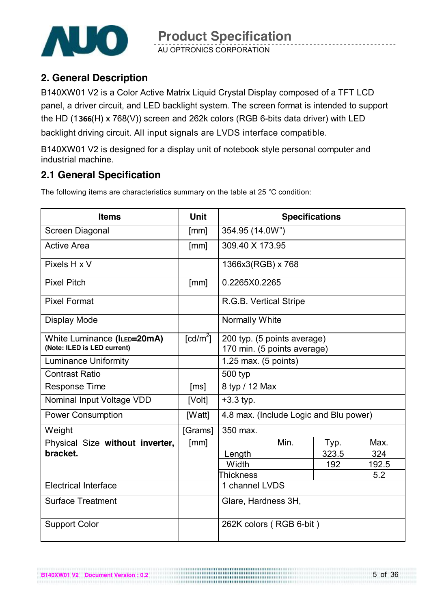

AU OPTRONICS CORPORATION

## **2. General Description**

B140XW01 V2 is a Color Active Matrix Liquid Crystal Display composed of a TFT LCD panel, a driver circuit, and LED backlight system. The screen format is intended to support the HD (1**366**(H) x 768(V)) screen and 262k colors (RGB 6-bits data driver) with LED backlight driving circuit. All input signals are LVDS interface compatible.

B140XW01 V2 is designed for a display unit of notebook style personal computer and industrial machine.

## **2.1 General Specification**

The following items are characteristics summary on the table at 25 ℃ condition:

| <b>Items</b>                                               | <b>Unit</b>            | <b>Specifications</b>                                      |                         |                                        |       |  |
|------------------------------------------------------------|------------------------|------------------------------------------------------------|-------------------------|----------------------------------------|-------|--|
| Screen Diagonal                                            | [mm]                   | 354.95 (14.0W")                                            |                         |                                        |       |  |
| <b>Active Area</b>                                         | [mm]                   | 309.40 X 173.95                                            |                         |                                        |       |  |
| Pixels H x V                                               |                        | 1366x3(RGB) x 768                                          |                         |                                        |       |  |
| <b>Pixel Pitch</b>                                         | [mm]                   | 0.2265X0.2265                                              |                         |                                        |       |  |
| <b>Pixel Format</b>                                        |                        | R.G.B. Vertical Stripe                                     |                         |                                        |       |  |
| <b>Display Mode</b>                                        |                        | <b>Normally White</b>                                      |                         |                                        |       |  |
| White Luminance (ILED=20mA)<br>(Note: ILED is LED current) | $\lceil cd/m^2 \rceil$ | 200 typ. (5 points average)<br>170 min. (5 points average) |                         |                                        |       |  |
| <b>Luminance Uniformity</b>                                |                        | 1.25 max. (5 points)                                       |                         |                                        |       |  |
| <b>Contrast Ratio</b>                                      |                        | 500 typ                                                    |                         |                                        |       |  |
| <b>Response Time</b>                                       | [ms]                   | 8 typ / 12 Max                                             |                         |                                        |       |  |
| Nominal Input Voltage VDD                                  | [Volt]                 | $+3.3$ typ.                                                |                         |                                        |       |  |
| <b>Power Consumption</b>                                   | [Watt]                 |                                                            |                         | 4.8 max. (Include Logic and Blu power) |       |  |
| Weight                                                     | [Grams]                | 350 max.                                                   |                         |                                        |       |  |
| Physical Size without inverter,                            | [mm]                   |                                                            | Min.                    | Typ.                                   | Max.  |  |
| bracket.                                                   |                        | Length                                                     |                         | 323.5                                  | 324   |  |
|                                                            |                        | Width                                                      |                         | 192                                    | 192.5 |  |
|                                                            |                        | <b>Thickness</b>                                           |                         |                                        | 5.2   |  |
| <b>Electrical Interface</b>                                |                        | 1 channel LVDS                                             |                         |                                        |       |  |
| <b>Surface Treatment</b>                                   |                        | Glare, Hardness 3H,                                        |                         |                                        |       |  |
| <b>Support Color</b>                                       |                        |                                                            | 262K colors (RGB 6-bit) |                                        |       |  |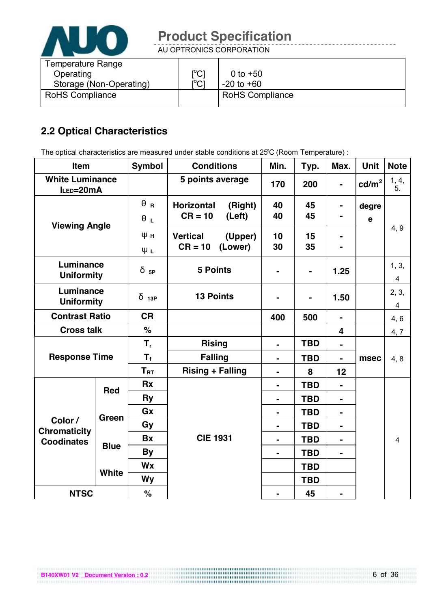

AU OPTRONICS CORPORATION

| <b>Temperature Range</b> |                                |                        |
|--------------------------|--------------------------------|------------------------|
| Operating                | $\mathsf{I}^0$<br>◡            | 0 to $+50$             |
| Storage (Non-Operating)  | $\mathsf{r}^{\mathsf{o}}$<br>◡ | $-20$ to $+60$         |
| <b>RoHS Compliance</b>   |                                | <b>RoHS Compliance</b> |
|                          |                                |                        |

## **2.2 Optical Characteristics**

The optical characteristics are measured under stable conditions at 25℃ (Room Temperature) :

| Item                                    |              | <b>Symbol</b>          | <b>Conditions</b>            | Min.           | Typ.           | Max.           | <b>Unit</b>     | <b>Note</b>    |
|-----------------------------------------|--------------|------------------------|------------------------------|----------------|----------------|----------------|-----------------|----------------|
| <b>White Luminance</b><br>ILED=20mA     |              |                        | 5 points average             | 170            | 200            |                | $\text{cd/m}^2$ | 1, 4,<br>5.    |
| <b>Viewing Angle</b>                    |              | $\theta$ R             | <b>Horizontal</b><br>(Right) | 40             | 45             |                | degre           |                |
|                                         |              | $\theta_L$             | $CR = 10$<br>(Left)          | 40             | 45             |                | $\mathbf e$     |                |
|                                         |              | Ψн                     | <b>Vertical</b><br>(Upper)   | 10             | 15             |                |                 | 4, 9           |
|                                         |              | ΨL                     | $CR = 10$<br>(Lower)         | 30             | 35             |                |                 |                |
| Luminance<br><b>Uniformity</b>          |              | $\delta$ <sub>5P</sub> | <b>5 Points</b>              |                | $\blacksquare$ | 1.25           |                 | 1, 3,<br>4     |
| Luminance<br><b>Uniformity</b>          |              | $\delta$ 13P           | <b>13 Points</b>             | $\blacksquare$ |                | 1.50           |                 | 2, 3,<br>4     |
| <b>Contrast Ratio</b>                   |              | <b>CR</b>              |                              | 400            | 500            | $\blacksquare$ |                 | 4, 6           |
| <b>Cross talk</b>                       |              | $\%$                   |                              |                |                | 4              |                 | 4, 7           |
|                                         |              | $T_{r}$                | <b>Rising</b>                | $\blacksquare$ | <b>TBD</b>     | $\blacksquare$ |                 |                |
| <b>Response Time</b>                    |              | $T_{\rm f}$            | <b>Falling</b>               | $\blacksquare$ | <b>TBD</b>     | $\blacksquare$ | msec            | 4, 8           |
|                                         |              | $T_{\rm RT}$           | <b>Rising + Falling</b>      | $\blacksquare$ | 8              | 12             |                 |                |
|                                         | <b>Red</b>   | <b>Rx</b>              |                              | $\blacksquare$ | <b>TBD</b>     | $\blacksquare$ |                 |                |
|                                         |              | <b>Ry</b>              |                              | $\blacksquare$ | <b>TBD</b>     | $\blacksquare$ |                 |                |
| Green<br>Color /<br><b>Chromaticity</b> |              | Gx                     |                              | $\blacksquare$ | <b>TBD</b>     | $\blacksquare$ |                 |                |
|                                         |              | Gy                     |                              | $\blacksquare$ | <b>TBD</b>     | $\blacksquare$ |                 |                |
| <b>Coodinates</b>                       | <b>Blue</b>  | <b>Bx</b>              | <b>CIE 1931</b>              | $\blacksquare$ | <b>TBD</b>     | $\blacksquare$ |                 | $\overline{4}$ |
|                                         |              | <b>By</b>              |                              | $\blacksquare$ | <b>TBD</b>     |                |                 |                |
|                                         |              | Wx                     |                              |                | <b>TBD</b>     |                |                 |                |
|                                         | <b>White</b> | <b>Wy</b>              |                              |                | <b>TBD</b>     |                |                 |                |
| <b>NTSC</b>                             |              | $\%$                   |                              |                | 45             |                |                 |                |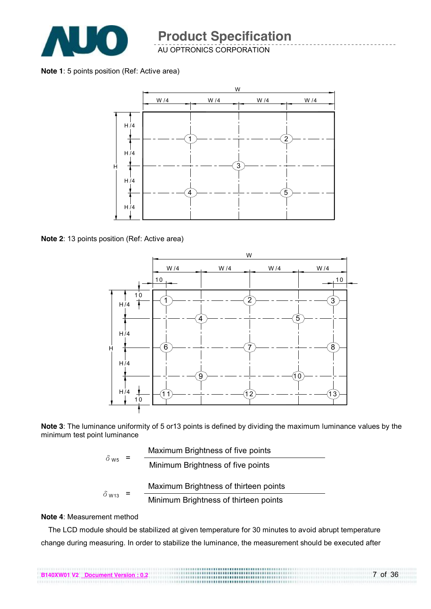

AU OPTRONICS CORPORATION

#### **Note 1**: 5 points position (Ref: Active area)



**Note 2**: 13 points position (Ref: Active area)



**Note 3**: The luminance uniformity of 5 or13 points is defined by dividing the maximum luminance values by the minimum test point luminance

|                         |   | Maximum Brightness of five points     |
|-------------------------|---|---------------------------------------|
| $\delta$ w <sub>5</sub> | = | Minimum Brightness of five points     |
|                         |   | Maximum Brightness of thirteen points |
| $\delta$ W13            |   | Minimum Brightness of thirteen points |

#### **Note 4**: Measurement method

The LCD module should be stabilized at given temperature for 30 minutes to avoid abrupt temperature change during measuring. In order to stabilize the luminance, the measurement should be executed after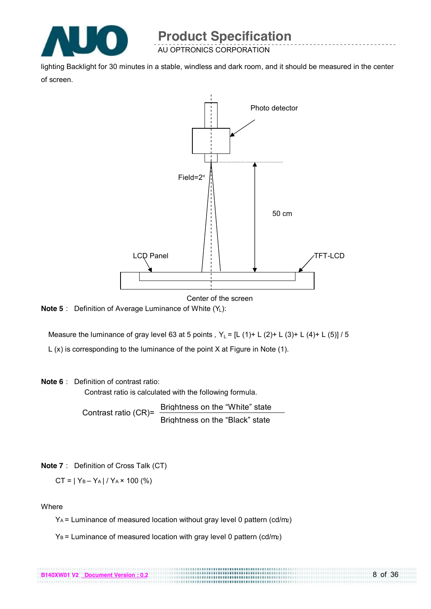

AU OPTRONICS CORPORATION

lighting Backlight for 30 minutes in a stable, windless and dark room, and it should be measured in the center of screen.



Center of the screen

8 of 36

**Note 5**: Definition of Average Luminance of White (Y<sub>L</sub>):

Measure the luminance of gray level 63 at 5 points,  $Y_L = [L (1) + L (2) + L (3) + L (4) + L (5)] / 5$ 

L (x) is corresponding to the luminance of the point X at Figure in Note (1).

#### **Note 6**: Definition of contrast ratio:

Contrast ratio is calculated with the following formula.

Contrast ratio (CR)= Brightness on the "White" state Brightness on the "Black" state

```
Note 7: Definition of Cross Talk (CT)
```

$$
CT = |Y_B - Y_A| / Y_A \times 100 \, (\%)
$$

**Where** 

YA = Luminance of measured location without gray level 0 pattern (cd/m2)

 $Y_B$  = Luminance of measured location with gray level 0 pattern (cd/m2)

| B140XW01 V2 Document Version: 0.2 | <b></b><br> |
|-----------------------------------|-------------|
|                                   |             |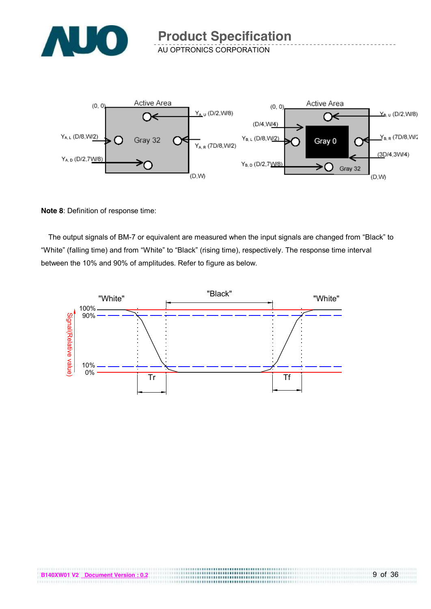

AU OPTRONICS CORPORATION



#### **Note 8**: Definition of response time:

The output signals of BM-7 or equivalent are measured when the input signals are changed from "Black" to "White" (falling time) and from "White" to "Black" (rising time), respectively. The response time interval between the 10% and 90% of amplitudes. Refer to figure as below.

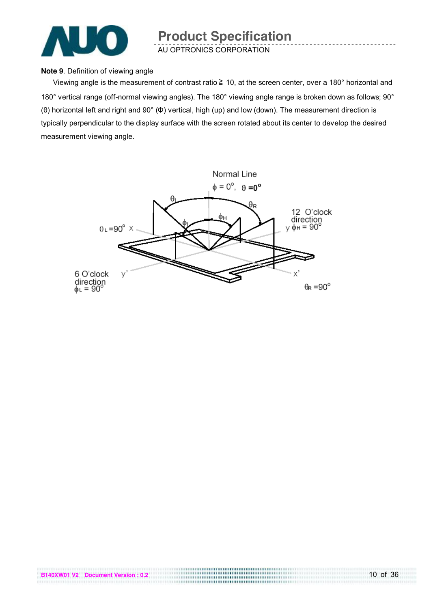

AU OPTRONICS CORPORATION

#### **Note 9**. Definition of viewing angle

Viewing angle is the measurement of contrast ratio ≧ 10, at the screen center, over a 180° horizontal and 180° vertical range (off-normal viewing angles). The 180° viewing angle range is broken down as follows; 90° (θ) horizontal left and right and 90° (Φ) vertical, high (up) and low (down). The measurement direction is typically perpendicular to the display surface with the screen rotated about its center to develop the desired measurement viewing angle.

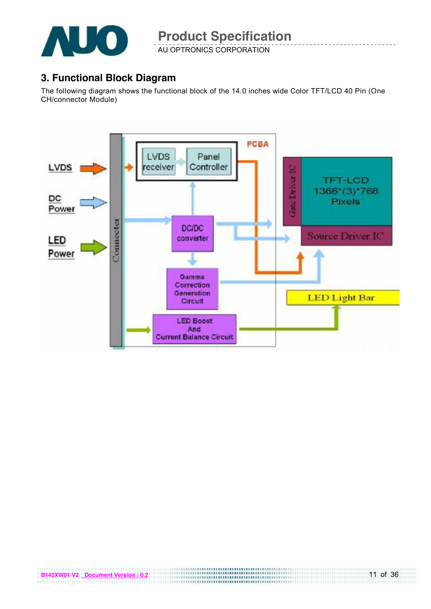

AU OPTRONICS CORPORATION

### **3. Functional Block Diagram**

The following diagram shows the functional block of the 14.0 inches wide Color TFT/LCD 40 Pin (One CH/connector Module)

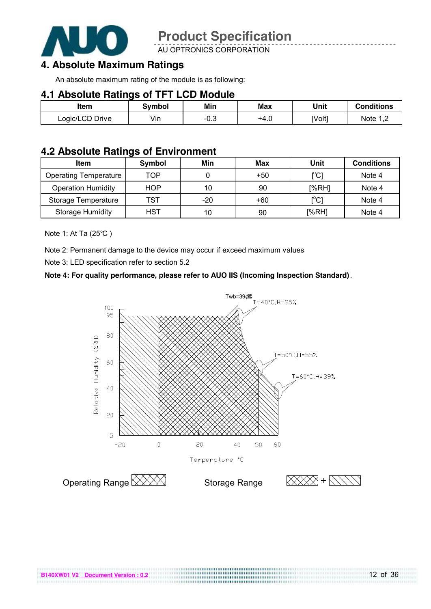

AU OPTRONICS CORPORATION

### **4. Absolute Maximum Ratings**

An absolute maximum rating of the module is as following:

#### **4.1 Absolute Ratings of TFT LCD Module**

| Item            | Symbol | Min  | <b>Max</b> | Unit   | <b>Conditions</b> |
|-----------------|--------|------|------------|--------|-------------------|
| Logic/LCD Drive | Vin    | −∪.⊖ | +4.u       | [Volt] | Note 1            |

### **4.2 Absolute Ratings of Environment**

| <b>Item</b>                  | Symbol | Min   | Max   | Unit                                    | <b>Conditions</b> |
|------------------------------|--------|-------|-------|-----------------------------------------|-------------------|
| <b>Operating Temperature</b> | TOP    |       | $+50$ | [°C]                                    | Note 4            |
| <b>Operation Humidity</b>    | HOP    | 10    | 90    | [%RH]                                   | Note 4            |
| Storage Temperature          | TST    | $-20$ | $+60$ | $\mathsf{I}^\circ\mathsf{C} \mathsf{I}$ | Note 4            |
| <b>Storage Humidity</b>      | HST    | 10    | 90    | [%RH]                                   | Note 4            |

Note 1: At Ta (25℃ )

Note 2: Permanent damage to the device may occur if exceed maximum values

Note 3: LED specification refer to section 5.2

#### **Note 4: For quality performance, please refer to AUO IIS (Incoming Inspection Standard)**.

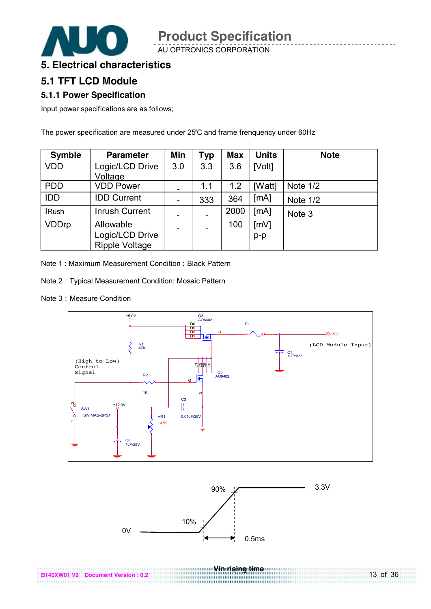AU OPTRONICS CORPORATION



#### **5. Electrical characteristics**

### **5.1 TFT LCD Module**

#### **5.1.1 Power Specification**

Input power specifications are as follows;

The power specification are measured under 25℃ and frame frenquency under 60Hz

| <b>Symble</b> | <b>Parameter</b>                                      | Min                      | Typ | <b>Max</b> | <b>Units</b>  | <b>Note</b> |
|---------------|-------------------------------------------------------|--------------------------|-----|------------|---------------|-------------|
| <b>VDD</b>    | Logic/LCD Drive<br>Voltage                            | 3.0                      | 3.3 | 3.6        | [Volt]        |             |
| <b>PDD</b>    | <b>VDD Power</b>                                      | -                        | 1.1 | 1.2        | [Watt]        | Note 1/2    |
| <b>IDD</b>    | <b>IDD Current</b>                                    | $\overline{\phantom{a}}$ | 333 | 364        | [MA]          | Note 1/2    |
| <b>IRush</b>  | <b>Inrush Current</b>                                 |                          |     | 2000       | [MA]          | Note 3      |
| <b>VDDrp</b>  | Allowable<br>Logic/LCD Drive<br><b>Ripple Voltage</b> | $\overline{\phantom{a}}$ |     | 100        | [mV]<br>$p-p$ |             |

Note 1: Maximum Measurement Condition: Black Pattern

- Note 2:Typical Measurement Condition: Mosaic Pattern
- Note 3 : Measure Condition





**Vin rising time** 

..........**.............**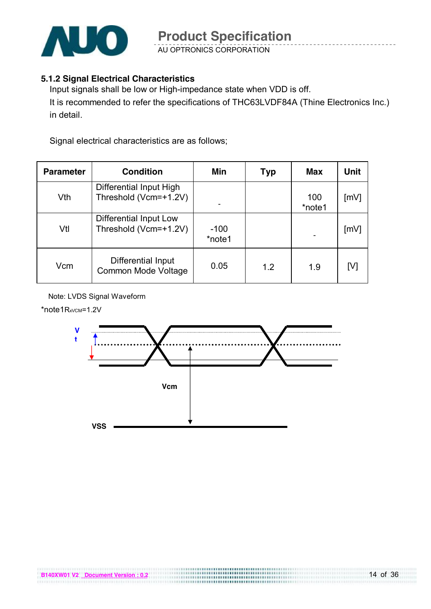

AU OPTRONICS CORPORATION

#### **5.1.2 Signal Electrical Characteristics**

Input signals shall be low or High-impedance state when VDD is off. It is recommended to refer the specifications of THC63LVDF84A (Thine Electronics Inc.) in detail.

Signal electrical characteristics are as follows;

| <b>Parameter</b> | <b>Condition</b>                                 | Min              | Typ | Max           | Unit |
|------------------|--------------------------------------------------|------------------|-----|---------------|------|
| Vth              | Differential Input High<br>Threshold (Vcm=+1.2V) |                  |     | 100<br>*note1 | [mV] |
| Vtl              | Differential Input Low<br>Threshold (Vcm=+1.2V)  | $-100$<br>*note1 |     |               | [mV] |
| Vcm              | Differential Input<br>Common Mode Voltage        | 0.05             | 1.2 | 1.9           | [V]  |

Note: LVDS Signal Waveform

\*note1RxvcM=1.2V

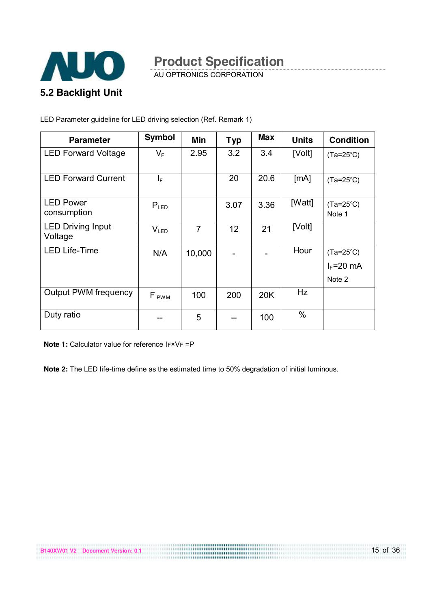

AU OPTRONICS CORPORATION

LED Parameter guideline for LED driving selection (Ref. Remark 1)

| <b>Parameter</b>                    | <b>Symbol</b>    | Min    | <b>Typ</b> | <b>Max</b> | <b>Units</b> | <b>Condition</b>                              |
|-------------------------------------|------------------|--------|------------|------------|--------------|-----------------------------------------------|
| <b>LED Forward Voltage</b>          | $V_{F}$          | 2.95   | 3.2        | 3.4        | [Volt]       | $(Ta=25^{\circ}C)$                            |
| <b>LED Forward Current</b>          | ΙF               |        | 20         | 20.6       | [MA]         | $(Ta=25^{\circ}C)$                            |
| <b>LED Power</b><br>consumption     | $P_{LED}$        |        | 3.07       | 3.36       | [Watt]       | $(Ta=25^{\circ}C)$<br>Note 1                  |
| <b>LED Driving Input</b><br>Voltage | V <sub>LED</sub> | 7      | 12         | 21         | [Volt]       |                                               |
| <b>LED Life-Time</b>                | N/A              | 10,000 |            |            | Hour         | $(Ta=25^{\circ}C)$<br>$I_F = 20$ mA<br>Note 2 |
| <b>Output PWM frequency</b>         | F <sub>PWM</sub> | 100    | 200        | 20K        | <b>Hz</b>    |                                               |
| Duty ratio                          |                  | 5      |            | 100        | $\%$         |                                               |

**Note 1:** Calculator value for reference IF×VF =P

**Note 2:** The LED life-time define as the estimated time to 50% degradation of initial luminous.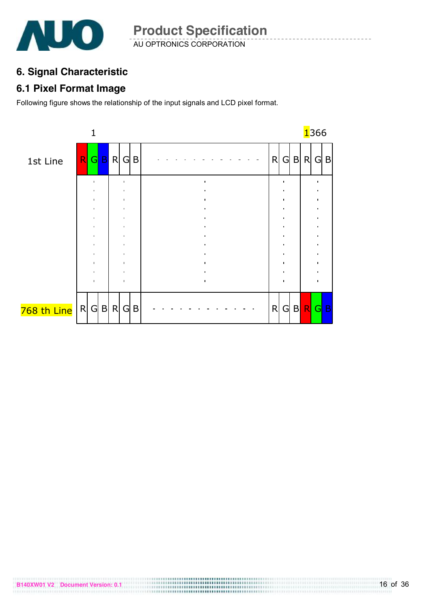

AU OPTRONICS CORPORATION **Product Specification** 

## **6. Signal Characteristic**

### **6.1 Pixel Format Image**

Following figure shows the relationship of the input signals and LCD pixel format.

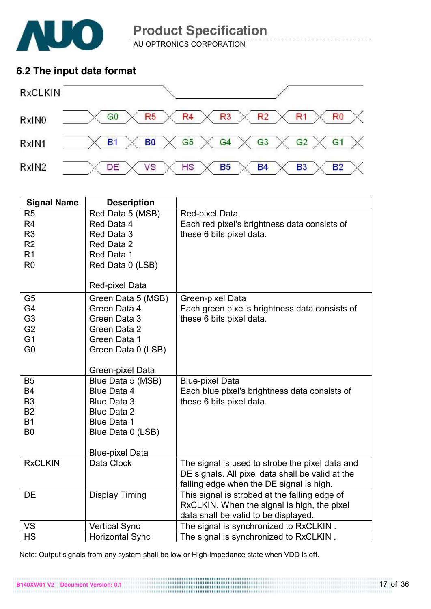

AU OPTRONICS CORPORATION **Product Specification** 

### **6.2 The input data format**



| <b>Signal Name</b> | <b>Description</b>     |                                                  |
|--------------------|------------------------|--------------------------------------------------|
| R <sub>5</sub>     | Red Data 5 (MSB)       | Red-pixel Data                                   |
| R <sub>4</sub>     | Red Data 4             | Each red pixel's brightness data consists of     |
| R <sub>3</sub>     | Red Data 3             | these 6 bits pixel data.                         |
| R <sub>2</sub>     | Red Data 2             |                                                  |
| R1                 | Red Data 1             |                                                  |
| R <sub>0</sub>     | Red Data 0 (LSB)       |                                                  |
|                    |                        |                                                  |
|                    | Red-pixel Data         |                                                  |
| G <sub>5</sub>     | Green Data 5 (MSB)     | Green-pixel Data                                 |
| G4                 | Green Data 4           | Each green pixel's brightness data consists of   |
| G <sub>3</sub>     | Green Data 3           | these 6 bits pixel data.                         |
| G <sub>2</sub>     | Green Data 2           |                                                  |
| G <sub>1</sub>     | Green Data 1           |                                                  |
| G <sub>0</sub>     | Green Data 0 (LSB)     |                                                  |
|                    |                        |                                                  |
|                    | Green-pixel Data       |                                                  |
| B <sub>5</sub>     | Blue Data 5 (MSB)      | <b>Blue-pixel Data</b>                           |
| <b>B4</b>          | <b>Blue Data 4</b>     | Each blue pixel's brightness data consists of    |
| B <sub>3</sub>     | <b>Blue Data 3</b>     | these 6 bits pixel data.                         |
| <b>B2</b>          | <b>Blue Data 2</b>     |                                                  |
| <b>B1</b>          | <b>Blue Data 1</b>     |                                                  |
| B <sub>0</sub>     | Blue Data 0 (LSB)      |                                                  |
|                    |                        |                                                  |
|                    | <b>Blue-pixel Data</b> |                                                  |
| <b>RxCLKIN</b>     | Data Clock             | The signal is used to strobe the pixel data and  |
|                    |                        | DE signals. All pixel data shall be valid at the |
|                    |                        | falling edge when the DE signal is high.         |
| DE                 | <b>Display Timing</b>  | This signal is strobed at the falling edge of    |
|                    |                        | RxCLKIN. When the signal is high, the pixel      |
|                    |                        | data shall be valid to be displayed.             |
| <b>VS</b>          | <b>Vertical Sync</b>   | The signal is synchronized to RxCLKIN.           |
| <b>HS</b>          | <b>Horizontal Sync</b> | The signal is synchronized to RxCLKIN.           |

Note: Output signals from any system shall be low or High-impedance state when VDD is off.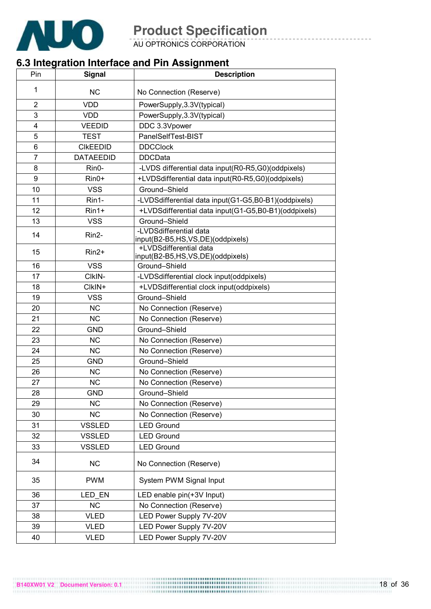

AU OPTRONICS CORPORATION

## **6.3 Integration Interface and Pin Assignment**

| Pin            | <b>Signal</b>    | <b>Description</b>                                         |
|----------------|------------------|------------------------------------------------------------|
| 1              | <b>NC</b>        | No Connection (Reserve)                                    |
| $\overline{2}$ | <b>VDD</b>       | PowerSupply, 3.3V(typical)                                 |
| 3              | <b>VDD</b>       | PowerSupply, 3.3V(typical)                                 |
| 4              | <b>VEEDID</b>    | DDC 3.3Vpower                                              |
| 5              | <b>TEST</b>      | PanelSelfTest-BIST                                         |
| 6              | <b>CIKEEDID</b>  | <b>DDCClock</b>                                            |
| $\overline{7}$ | <b>DATAEEDID</b> | <b>DDCData</b>                                             |
| 8              | Rin0-            | -LVDS differential data input(R0-R5,G0)(oddpixels)         |
| 9              | Rin0+            | +LVDSdifferential data input(R0-R5,G0)(oddpixels)          |
| 10             | <b>VSS</b>       | Ground-Shield                                              |
| 11             | Rin1-            | -LVDSdifferential data input(G1-G5,B0-B1)(oddpixels)       |
| 12             | Rin1+            | +LVDSdifferential data input(G1-G5,B0-B1)(oddpixels)       |
| 13             | <b>VSS</b>       | Ground-Shield                                              |
| 14             | Rin2-            | -LVDSdifferential data<br>input(B2-B5,HS,VS,DE)(oddpixels) |
| 15             | Rin2+            | +LVDSdifferential data<br>input(B2-B5,HS,VS,DE)(oddpixels) |
| 16             | <b>VSS</b>       | Ground-Shield                                              |
| 17             | CIkIN-           | -LVDSdifferential clock input(oddpixels)                   |
| 18             | CIkIN+           | +LVDSdifferential clock input(oddpixels)                   |
| 19             | <b>VSS</b>       | Ground-Shield                                              |
| 20             | <b>NC</b>        | No Connection (Reserve)                                    |
| 21             | <b>NC</b>        | No Connection (Reserve)                                    |
| 22             | <b>GND</b>       | Ground-Shield                                              |
| 23             | <b>NC</b>        | No Connection (Reserve)                                    |
| 24             | <b>NC</b>        | No Connection (Reserve)                                    |
| 25             | <b>GND</b>       | Ground-Shield                                              |
| 26             | <b>NC</b>        | No Connection (Reserve)                                    |
| 27             | <b>NC</b>        | No Connection (Reserve)                                    |
| 28             | <b>GND</b>       | Ground-Shield                                              |
| 29             | <b>NC</b>        | No Connection (Reserve)                                    |
| 30             | <b>NC</b>        | No Connection (Reserve)                                    |
| 31             | <b>VSSLED</b>    | <b>LED Ground</b>                                          |
| 32             | <b>VSSLED</b>    | <b>LED Ground</b>                                          |
| 33             | <b>VSSLED</b>    | <b>LED Ground</b>                                          |
| 34             | <b>NC</b>        | No Connection (Reserve)                                    |
| 35             | <b>PWM</b>       | System PWM Signal Input                                    |
| 36             | LED EN           | LED enable pin(+3V Input)                                  |
| 37             | <b>NC</b>        | No Connection (Reserve)                                    |
| 38             | <b>VLED</b>      | LED Power Supply 7V-20V                                    |
| 39             | <b>VLED</b>      | LED Power Supply 7V-20V                                    |
| 40             | <b>VLED</b>      | LED Power Supply 7V-20V                                    |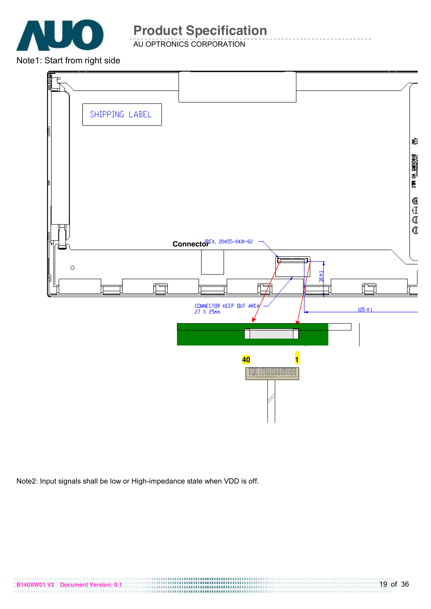

AU OPTRONICS CORPORATION

Note1: Start from right side



Note2: Input signals shall be low or High-impedance state when VDD is off.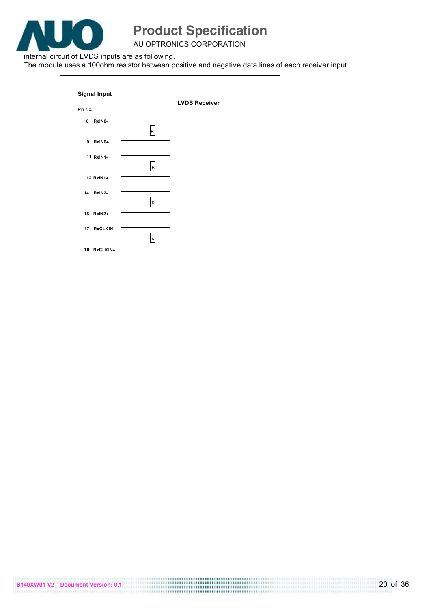

AU OPTRONICS CORPORATION

internal circuit of LVDS inputs are as following.

The module uses a 100ohm resistor between positive and negative data lines of each receiver input

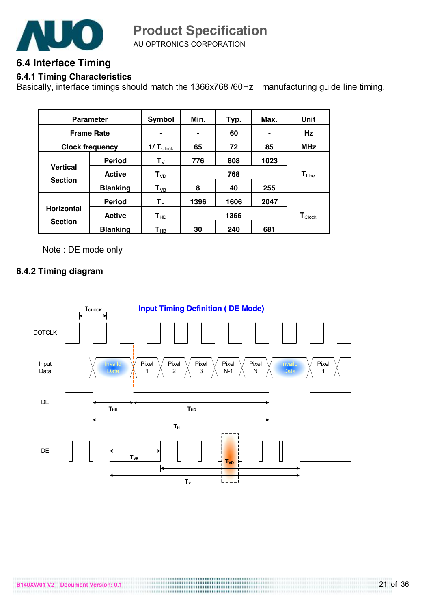

AU OPTRONICS CORPORATION **Product Specification** 

### **6.4 Interface Timing**

#### **6.4.1 Timing Characteristics**

Basically, interface timings should match the 1366x768 /60Hz manufacturing guide line timing.

|                                   | <b>Parameter</b> | Symbol                     | Min. | Typ. | Max.           | Unit                        |
|-----------------------------------|------------------|----------------------------|------|------|----------------|-----------------------------|
| <b>Frame Rate</b>                 |                  |                            |      | 60   | $\blacksquare$ | Hz                          |
| <b>Clock frequency</b>            |                  | $1/T_{\text{Clock}}$       | 65   | 72   | 85             | <b>MHz</b>                  |
|                                   | <b>Period</b>    | $\mathbf{T}_{\mathsf{V}}$  | 776  | 808  | 1023           |                             |
| <b>Vertical</b><br><b>Section</b> | <b>Active</b>    | $T_{VD}$                   | 768  |      |                | $T_{Line}$                  |
|                                   | <b>Blanking</b>  | $T_{VB}$                   | 8    | 40   | 255            |                             |
|                                   | <b>Period</b>    | $\mathsf{T}_\mathsf{H}$    | 1396 | 1606 | 2047           |                             |
| <b>Horizontal</b>                 | <b>Active</b>    | $\mathsf{T}_{\mathsf{HD}}$ |      | 1366 |                | $\mathbf{T}_{\text{Clock}}$ |
| <b>Section</b>                    | <b>Blanking</b>  | $\mathsf{T}_{\mathsf{HB}}$ | 30   | 240  | 681            |                             |

Note : DE mode only

#### **6.4.2 Timing diagram**

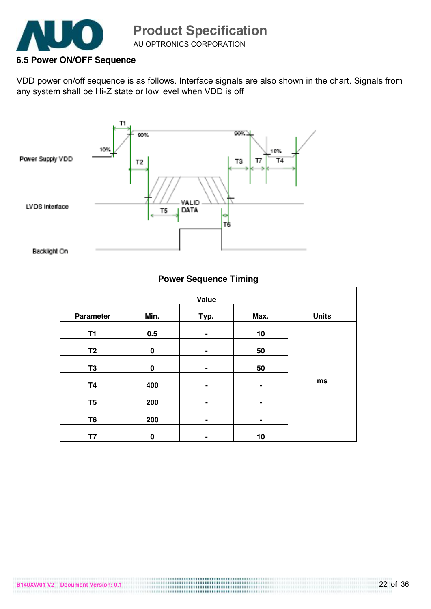

#### **6.5 Power ON/OFF Sequence**

VDD power on/off sequence is as follows. Interface signals are also shown in the chart. Signals from any system shall be Hi-Z state or low level when VDD is off



#### **Power Sequence Timing**

|                  | Value       |                |                |              |
|------------------|-------------|----------------|----------------|--------------|
| <b>Parameter</b> | Min.        | Typ.           | Max.           | <b>Units</b> |
| T1               | 0.5         | -              | 10             |              |
| T <sub>2</sub>   | $\mathbf 0$ | $\blacksquare$ | 50             |              |
| T <sub>3</sub>   | $\mathbf 0$ |                | 50             |              |
| <b>T4</b>        | 400         | $\blacksquare$ | $\blacksquare$ | ms           |
|                  |             |                |                |              |
| T <sub>5</sub>   | 200         | ۰              | $\blacksquare$ |              |
| T <sub>6</sub>   | 200         | $\blacksquare$ | $\blacksquare$ |              |
| Τ7               | 0           | -              | 10             |              |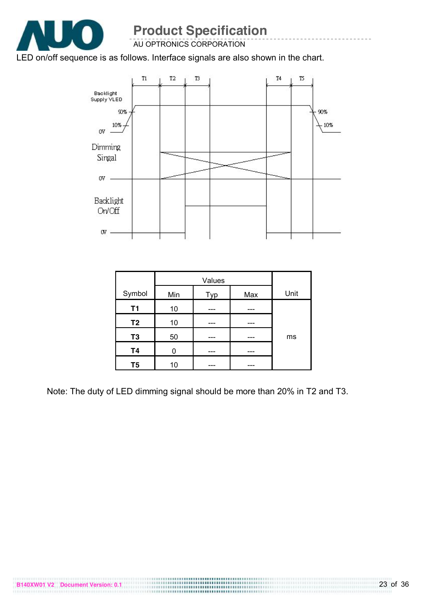

AU OPTRONICS CORPORATION

### LED on/off sequence is as follows. Interface signals are also shown in the chart.



|                | Values |     |     |      |
|----------------|--------|-----|-----|------|
| Symbol         | Min    | Typ | Max | Unit |
| T1             | 10     |     |     |      |
| T <sub>2</sub> | 10     |     |     |      |
| T <sub>3</sub> | 50     |     |     | ms   |
| <b>T4</b>      |        |     |     |      |
| T <sub>5</sub> | 10     |     |     |      |

Note: The duty of LED dimming signal should be more than 20% in T2 and T3.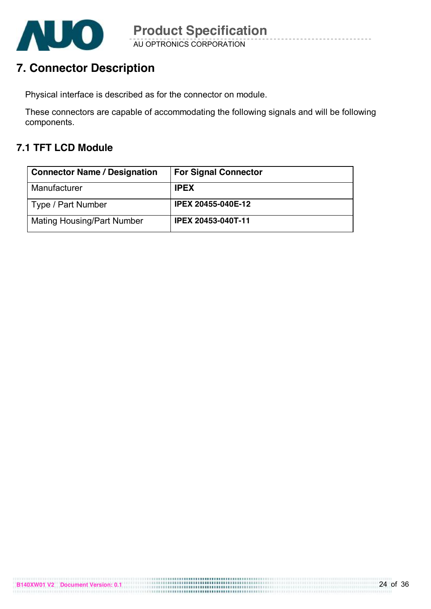

## **7. Connector Description**

Physical interface is described as for the connector on module.

These connectors are capable of accommodating the following signals and will be following components.

## **7.1 TFT LCD Module**

| <b>Connector Name / Designation</b> | <b>For Signal Connector</b> |
|-------------------------------------|-----------------------------|
| Manufacturer                        | <b>IPEX</b>                 |
| Type / Part Number                  | <b>IPEX 20455-040E-12</b>   |
| <b>Mating Housing/Part Number</b>   | <b>IPEX 20453-040T-11</b>   |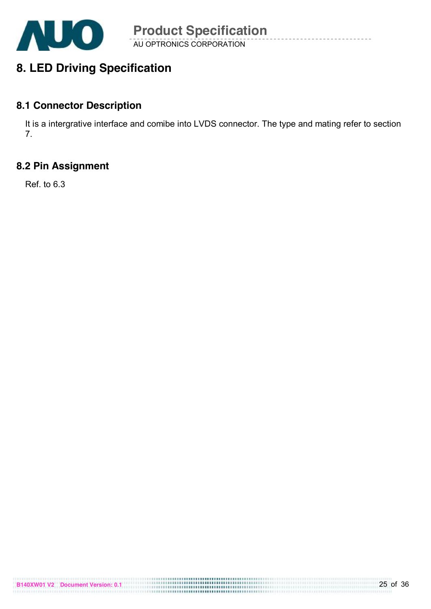

AU OPTRONICS CORPORATION **Product Specification** 

## **8. LED Driving Specification**

### **8.1 Connector Description**

It is a intergrative interface and comibe into LVDS connector. The type and mating refer to section 7.

### **8.2 Pin Assignment**

Ref. to 6.3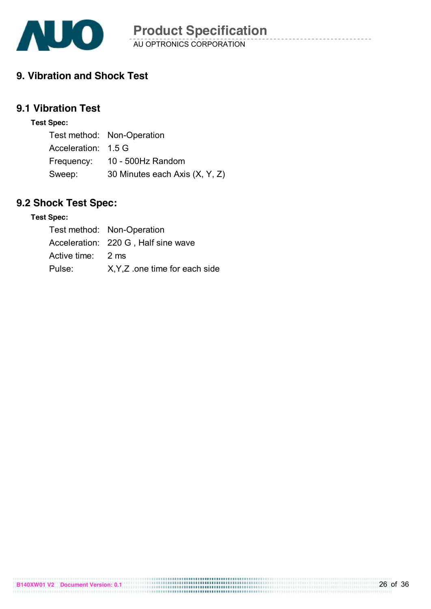

## **9. Vibration and Shock Test**

## **9.1 Vibration Test**

#### **Test Spec:**

|                     | Test method: Non-Operation     |
|---------------------|--------------------------------|
| Acceleration: 1.5 G |                                |
|                     | Frequency: 10 - 500Hz Random   |
| Sweep:              | 30 Minutes each Axis (X, Y, Z) |

## **9.2 Shock Test Spec:**

#### **Test Spec:**

|                   | Test method: Non-Operation          |
|-------------------|-------------------------------------|
|                   | Acceleration: 220 G, Half sine wave |
| Active time: 2 ms |                                     |
| Pulse:            | X.Y.Z one time for each side        |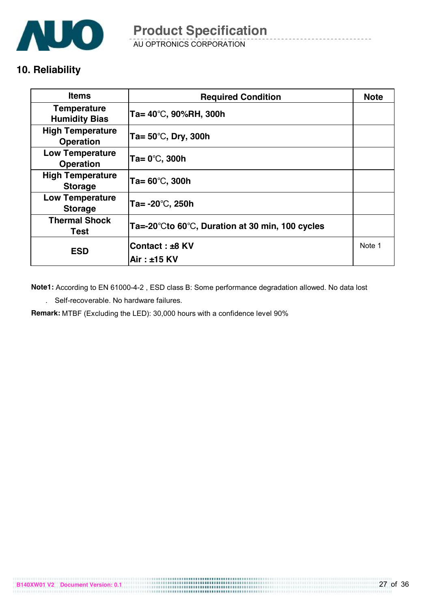

AU OPTRONICS CORPORATION **Product Specification** 

### **10. Reliability**

| <b>Items</b>                                | <b>Required Condition</b>                                           |        |
|---------------------------------------------|---------------------------------------------------------------------|--------|
| <b>Temperature</b><br><b>Humidity Bias</b>  | Ta= 40°C, 90%RH, 300h                                               |        |
| <b>High Temperature</b><br><b>Operation</b> | Ta= $50^{\circ}$ C, Dry, 300h                                       |        |
| <b>Low Temperature</b><br><b>Operation</b>  | $Ta = 0^\circ\text{C}$ , 300h                                       |        |
| <b>High Temperature</b><br><b>Storage</b>   | Ta= $60^{\circ}$ C, 300h                                            |        |
| <b>Low Temperature</b><br><b>Storage</b>    | Ta= $-20^{\circ}$ C, 250h                                           |        |
| <b>Thermal Shock</b><br><b>Test</b>         | Ta=-20 $\degree$ Cto 60 $\degree$ C, Duration at 30 min, 100 cycles |        |
| <b>ESD</b>                                  | Contact: ±8 KV<br>Air: ±15 KV                                       | Note 1 |

**Note1:** According to EN 61000-4-2 , ESD class B: Some performance degradation allowed. No data lost

. Self-recoverable. No hardware failures.

**Remark:** MTBF (Excluding the LED): 30,000 hours with a confidence level 90%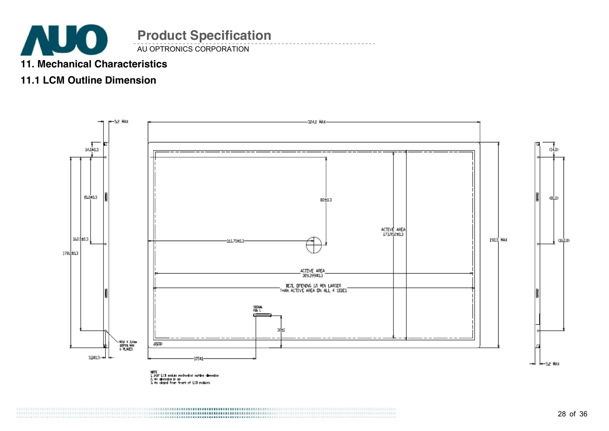

## **11. Mechanical Characteristics**

## **11.1 LCM Outline Dimension**

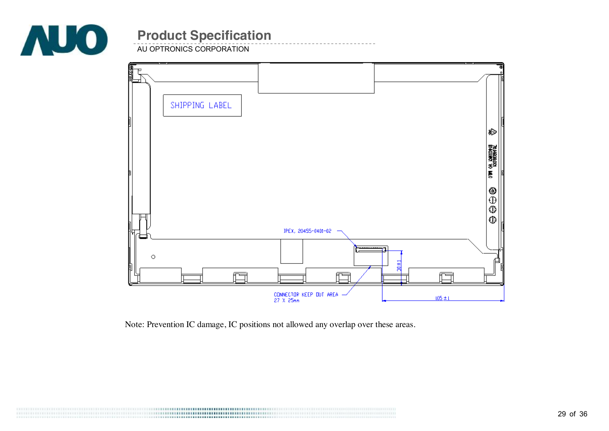

AU OPTRONICS CORPORATION



Note: Prevention IC damage, IC positions not allowed any overlap over these areas.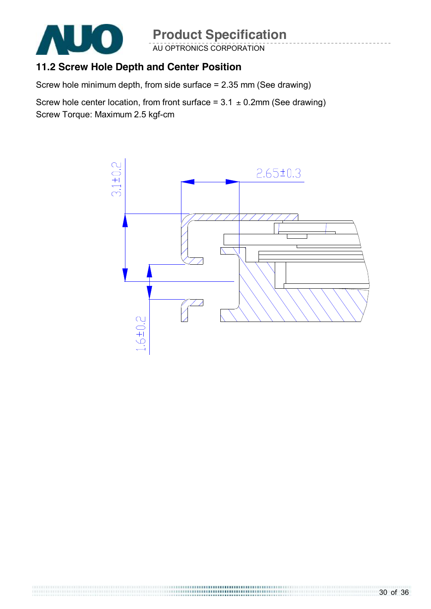

# **Product Specification**

AU OPTRONICS CORPORATION

## **11.2 Screw Hole Depth and Center Position**

Screw hole minimum depth, from side surface = 2.35 mm (See drawing)

Screw hole center location, from front surface =  $3.1 \pm 0.2$ mm (See drawing) Screw Torque: Maximum 2.5 kgf-cm

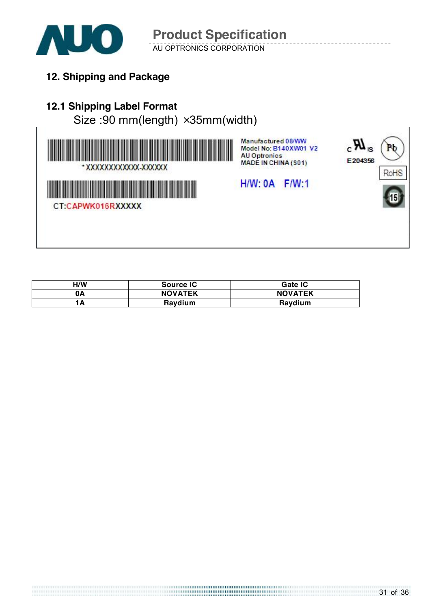

AU OPTRONICS CORPORATION **Product Specification** 

**12. Shipping and Package**

## **12.1 Shipping Label Format**

Size :90 mm(length) ×35mm(width)



Manufactured 08/WW Model No: B140XW01 V2 **AU Optronics** MADE IN CHINA (S01)





 $H/W: 0A$   $F/W:1$ 

| H/W | Source IC      | Gate IC        |
|-----|----------------|----------------|
| 0A  | <b>NOVATEK</b> | <b>NOVATEK</b> |
|     | Raydium        | Raydium        |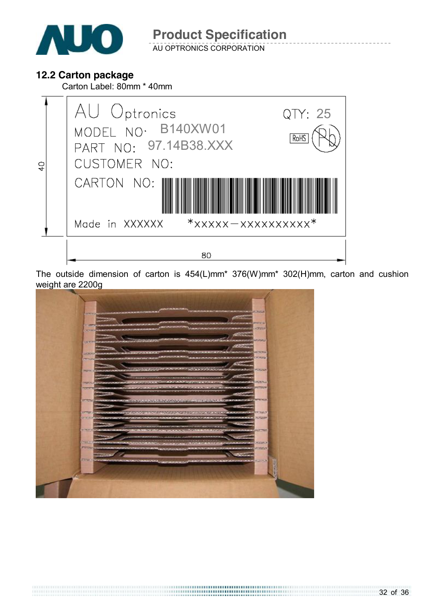

AU OPTRONICS CORPORATION

### **12.2 Carton package**

Carton Label: 80mm \* 40mm



The outside dimension of carton is 454(L)mm\* 376(W)mm\* 302(H)mm, carton and cushion weight are 2200g

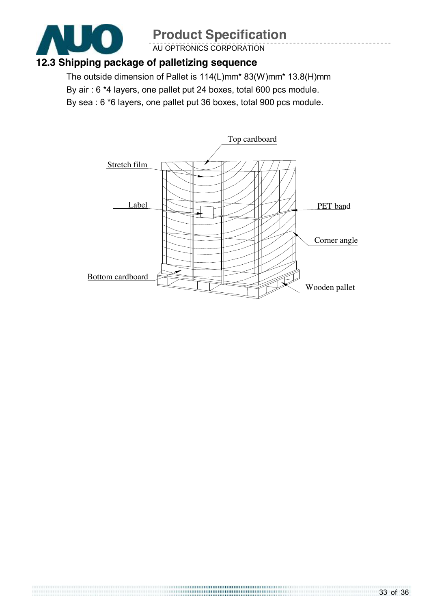

 $\begin{minipage}{.4\linewidth} \begin{tabular}{l} \hline \textbf{11} & \textbf{13} & \textbf{14} & \textbf{15} & \textbf{16} & \textbf{17} & \textbf{18} & \textbf{18} & \textbf{18} & \textbf{18} & \textbf{18} & \textbf{18} & \textbf{18} & \textbf{18} & \textbf{18} & \textbf{18} & \textbf{18} & \textbf{18} & \textbf{18} & \textbf{18} & \textbf{18} & \textbf{18} & \textbf{18} & \textbf{18} & \textbf{1$ 

# **Product Specification**

AU OPTRONICS CORPORATION

### **12.3 Shipping package of palletizing sequence**

The outside dimension of Pallet is 114(L)mm\* 83(W)mm\* 13.8(H)mm By air : 6 \*4 layers, one pallet put 24 boxes, total 600 pcs module. By sea : 6 \*6 layers, one pallet put 36 boxes, total 900 pcs module.

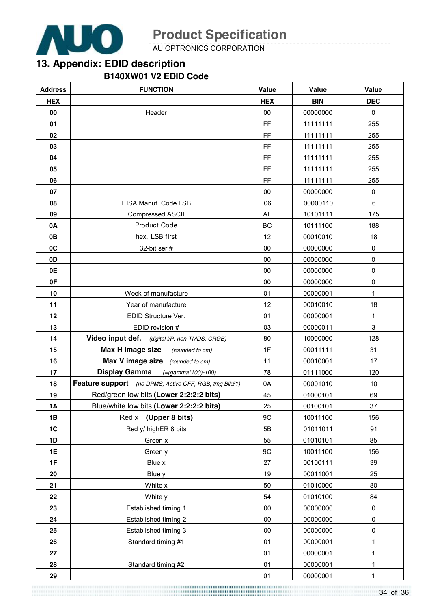

AU OPTRONICS CORPORATION

## **13. Appendix: EDID description**

### **B140XW01 V2 EDID Code**

| <b>Address</b> | <b>FUNCTION</b>                                       | Value      | Value      | <b>Value</b> |
|----------------|-------------------------------------------------------|------------|------------|--------------|
| <b>HEX</b>     |                                                       | <b>HEX</b> | <b>BIN</b> | <b>DEC</b>   |
| 00             | Header                                                | 00         | 00000000   | $\pmb{0}$    |
| 01             |                                                       | FF         | 11111111   | 255          |
| 02             |                                                       | FF         | 11111111   | 255          |
| 03             |                                                       | FF         | 11111111   | 255          |
| 04             |                                                       | FF         | 11111111   | 255          |
| 05             |                                                       | FF         | 11111111   | 255          |
| 06             |                                                       | FF         | 11111111   | 255          |
| 07             |                                                       | $00\,$     | 00000000   | $\pmb{0}$    |
| 08             | EISA Manuf. Code LSB                                  | 06         | 00000110   | 6            |
| 09             | Compressed ASCII                                      | AF         | 10101111   | 175          |
| 0A             | Product Code                                          | BC         | 10111100   | 188          |
| 0B             | hex, LSB first                                        | 12         | 00010010   | 18           |
| 0C             | 32-bit ser #                                          | $00\,$     | 00000000   | $\pmb{0}$    |
| 0D             |                                                       | $00\,$     | 00000000   | $\pmb{0}$    |
| 0E             |                                                       | $00\,$     | 00000000   | $\pmb{0}$    |
| 0F             |                                                       | $00\,$     | 00000000   | 0            |
| 10             | Week of manufacture                                   | 01         | 00000001   | 1            |
| 11             | Year of manufacture                                   | 12         | 00010010   | 18           |
| 12             | EDID Structure Ver.                                   | 01         | 00000001   | 1            |
| 13             | EDID revision #                                       | 03         | 00000011   | 3            |
| 14             | Video input def. (digital I/P, non-TMDS, CRGB)        | 80         | 10000000   | 128          |
| 15             | Max H image size<br>(rounded to cm)                   | 1F         | 00011111   | 31           |
| 16             | Max V image size (rounded to cm)                      | 11         | 00010001   | 17           |
| 17             | <b>Display Gamma</b><br>$( = (gamma * 100) - 100)$    | 78         | 01111000   | 120          |
| 18             | Feature support (no DPMS, Active OFF, RGB, tmg Blk#1) | 0A         | 00001010   | 10           |
| 19             | Red/green low bits (Lower 2:2:2:2 bits)               | 45         | 01000101   | 69           |
| 1A             | Blue/white low bits (Lower 2:2:2:2 bits)              | 25         | 00100101   | 37           |
| 1B             | Red x<br>(Upper 8 bits)                               | 9C         | 10011100   | 156          |
| 1C             | Red y/ highER 8 bits                                  | 5B         | 01011011   | 91           |
| 1D             | Green x                                               | 55         | 01010101   | 85           |
| 1E             | Green y                                               | 9C         | 10011100   | 156          |
| 1F             | Blue x                                                | 27         | 00100111   | 39           |
| 20             | Blue y                                                | 19         | 00011001   | 25           |
| 21             | White x                                               | 50         | 01010000   | 80           |
| 22             | White y                                               | 54         | 01010100   | 84           |
| 23             | Established timing 1                                  | 00         | 00000000   | $\mathsf 0$  |
| 24             | Established timing 2                                  | 00         | 00000000   | 0            |
| 25             | Established timing 3                                  | $00\,$     | 00000000   | $\mathbf 0$  |
| 26             | Standard timing #1                                    | 01         | 00000001   | 1            |
| 27             |                                                       | 01         | 00000001   | 1            |
| 28             | Standard timing #2                                    | 01         | 00000001   | 1            |
| 29             |                                                       | 01         | 00000001   | 1            |

34 of 36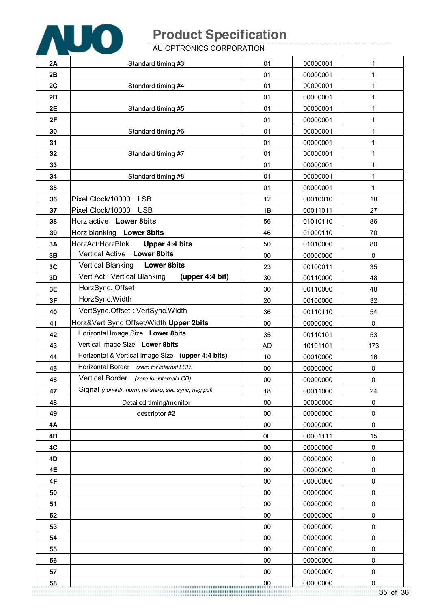

AU OPTRONICS CORPORATION

| 2A       | Standard timing #3                                                                   | 01               | 00000001             | 1           |
|----------|--------------------------------------------------------------------------------------|------------------|----------------------|-------------|
| 2B       |                                                                                      | 01               | 00000001             | $\mathbf 1$ |
| 2C       | Standard timing #4                                                                   | 01               | 00000001             | 1           |
| 2D       |                                                                                      | 01               | 00000001             | 1           |
| 2E       | Standard timing #5                                                                   | 01               | 00000001             | 1           |
| 2F       |                                                                                      | 01               | 00000001             | 1           |
| 30       | Standard timing #6                                                                   | 01               | 00000001             | 1           |
| 31       |                                                                                      | 01               | 00000001             | 1           |
| 32       | Standard timing #7                                                                   | 01               | 00000001             | 1           |
| 33       |                                                                                      | 01               | 00000001             | 1           |
| 34       | Standard timing #8                                                                   | 01               | 00000001             | 1           |
| 35       |                                                                                      | 01               | 00000001             | 1           |
| 36       | <b>LSB</b><br>Pixel Clock/10000                                                      | 12               | 00010010             | 18          |
| 37       | Pixel Clock/10000<br><b>USB</b>                                                      | 1B               | 00011011             | 27          |
| 38       | Horz active Lower 8bits                                                              | 56               | 01010110             | 86          |
| 39       | Horz blanking Lower 8bits                                                            | 46               | 01000110             | 70          |
| 3A       | HorzAct:HorzBlnk<br>Upper 4:4 bits                                                   | 50               | 01010000             | 80          |
| 3B       | <b>Lower 8bits</b><br><b>Vertical Active</b>                                         | 00               | 00000000             | $\pmb{0}$   |
| 3C       | <b>Lower 8bits</b><br><b>Vertical Blanking</b>                                       | 23               | 00100011             | 35          |
| 3D       | Vert Act: Vertical Blanking<br>(upper 4:4 bit)                                       | 30               | 00110000             | 48          |
| 3E       | HorzSync. Offset                                                                     | 30               | 00110000             | 48          |
| 3F       | HorzSync.Width                                                                       | 20               | 00100000             | 32          |
| 40       | VertSync.Offset: VertSync.Width                                                      | 36               | 00110110             | 54          |
| 41       | Horz‖ Sync Offset/Width Upper 2bits                                                  | 00               | 00000000             | $\mathbf 0$ |
| 42       | Horizontal Image Size Lower 8bits                                                    | 35               | 00110101             | 53          |
| 43       | Vertical Image Size Lower 8bits                                                      | <b>AD</b>        | 10101101             | 173         |
| 44       | Horizontal & Vertical Image Size (upper 4:4 bits)                                    | 10               | 00010000             | 16          |
| 45       | Horizontal Border (zero for internal LCD)<br>Vertical Border (zero for internal LCD) | 00               | 00000000             | 0           |
| 46       | Signal (non-intr, norm, no stero, sep sync, neg pol)                                 | $00\,$           | 00000000             | 0           |
| 47       |                                                                                      | 18               | 00011000             | 24          |
| 48       | Detailed timing/monitor                                                              | $00\,$           | 00000000             | $\pmb{0}$   |
| 49<br>4A | descriptor #2                                                                        | $00\,$<br>$00\,$ | 00000000<br>00000000 | 0           |
| 4B       |                                                                                      | 0F               | 00001111             | 0<br>15     |
| 4C       |                                                                                      | 00               | 00000000             | $\pmb{0}$   |
| 4D       |                                                                                      | 00               | 00000000             | $\pmb{0}$   |
| 4E       |                                                                                      | $00\,$           | 00000000             | 0           |
| 4F       |                                                                                      | $00\,$           | 00000000             | 0           |
| 50       |                                                                                      | 00               | 00000000             | 0           |
| 51       |                                                                                      | 00               | 00000000             | $\pmb{0}$   |
| 52       |                                                                                      | $00\,$           | 00000000             | 0           |
| 53       |                                                                                      | $00\,$           | 00000000             | 0           |
| 54       |                                                                                      | $00\,$           | 00000000             | 0           |
| 55       |                                                                                      | $00\,$           | 00000000             | $\pmb{0}$   |
| 56       |                                                                                      | 00               | 00000000             | 0           |
| 57       |                                                                                      | 00               | 00000000             | $\pmb{0}$   |
| 58       |                                                                                      | 00               | 00000000             | $\pmb{0}$   |

35 of 36